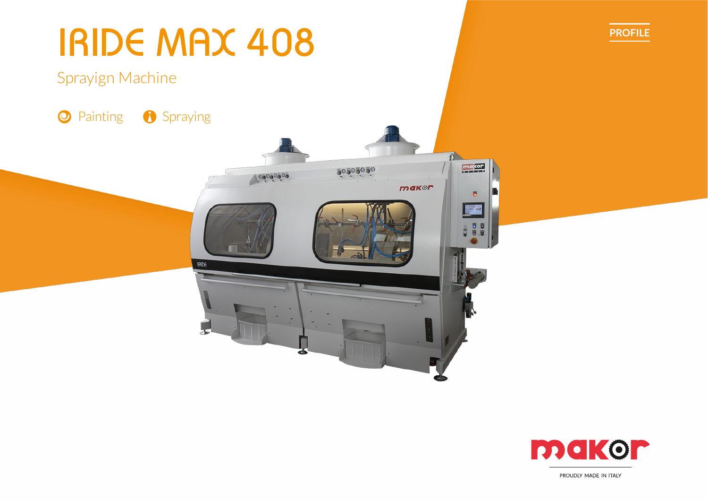

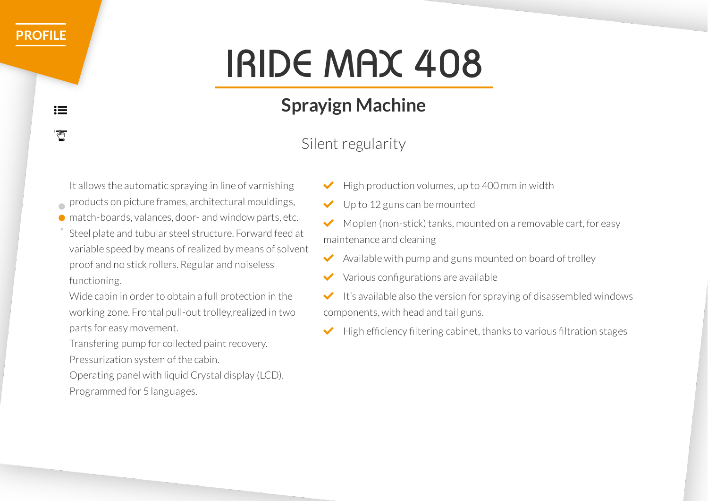# IRIDE MAX 408

## **Sprayign Machine**

### Silent regularity

It allows the automatic spraying in line of varnishing

- products on picture frames, architectural mouldings,
- match-boards, valances, door- and window parts, etc.
- Steel plate and tubular steel structure. Forward feed at variable speed by means ofrealized by means of solvent proof and no stick rollers. Regular and noiseless functioning.

Wide cabin in order to obtain a full protection in the working zone. Frontal pull-out trolley,realized in two parts for easy movement.

Transfering pump for collected paint recovery. Pressurization system of the cabin.

Operating panel with liquid Crystal display (LCD). Programmed for 5 languages.

- High production volumes, up to 400 mm in width
- Up to 12 guns can be mounted

 $\blacktriangleright$  Moplen (non-stick) tanks, mounted on a removable cart, for easy maintenance and cleaning

- $\blacktriangleright$  Available with pump and guns mounted on board of trolley
- $\vee$  Various configurations are available

 $\bigvee$  It's available also the version for spraying of disassembled windows components, with head and tail guns.

 $\blacktriangleright$  High efficiency filtering cabinet, thanks to various filtration stages

 $:=$  $\overline{\mathbb{C}}$ 

**[PROFILE](https://makordev.swa-creative.com/staging/en/product-category/profile-en/)**